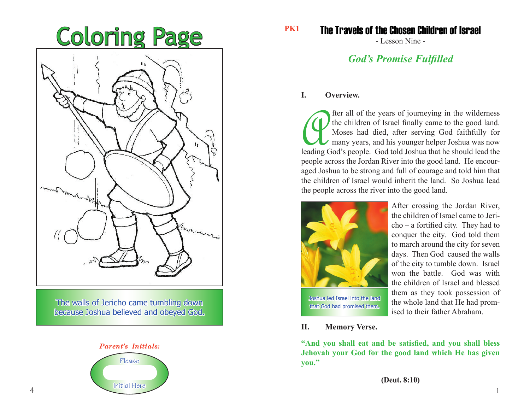

The walls of Jericho came tumbling down because Joshua believed and obeyed God.



## The Travels of the Chosen Children of Israel

- Lesson Nine -

# *God's Promise Fulfilled*

## **I. Overview.**

The children of Israel finally came to the good land.<br>
Moses had died, after serving God faithfully for<br>
many years, and his younger helper Joshua was now<br>
leading God's people. God told Joshua that he should lead the the children of Israel finally came to the good land. Moses had died, after serving God faithfully for many years, and his younger helper Joshua was now leading God's people. God told Joshua that he should lead the people across the Jordan River into the good land. He encouraged Joshua to be strong and full of courage and told him that the children of Israel would inherit the land. So Joshua lead the people across the river into the good land.



After crossing the Jordan River, the children of Israel came to Jericho – a fortified city. They had to conquer the city. God told them to march around the city for seven days. Then God caused the walls of the city to tumble down. Israel won the battle. God was with the children of Israel and blessed them as they took possession of the whole land that He had promised to their father Abraham.

## **II. Memory Verse.**

**"And you shall eat and be satisfied, and you shall bless Jehovah your God for the good land which He has given you."**